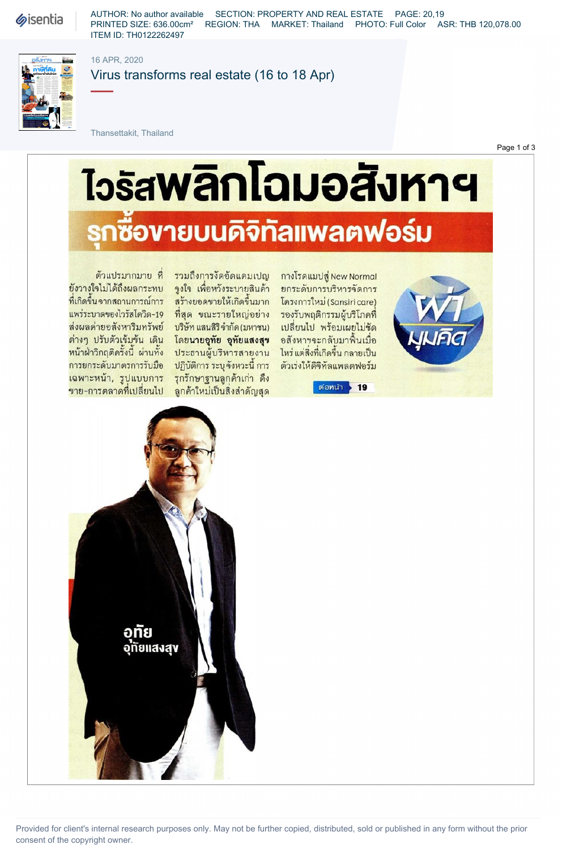**Sisentia** 

AUTHOR: No author available SECTION: PROPERTY AND REAL ESTATE PAGE: 20,19 PRINTED SIZE: 636.00cm² REGION: THA MARKET: Thailand PHOTO: Full Color ASR: THB 120,078.00 ITEM ID: TH0122262497



16 APR, 2020

Virus transforms real estate (16 to 18 Apr)

Thansettakit, Thailand

Page 1 of 3

# <u> ไวรัสพลิกโฉมอสังหาฯ</u> **เซื้องายบนคิจิทัลแพลตฟอร์ม**

ยังวางใจไม่ได้ถึงผลกระทบ จูงใจ เพื่อหวังระบายสินค้า ยกระดับการบริหารจัดการ ที่เกิดขึ้นจากสถานการณ์การ สุร้างยอดขายให้เกิดขึ้นมาก โครงการใหม่ (Sansiricare) แพร่ระบาดของไวรัสโควิด-19 ที่สุด ขณะรายใหญ่อย่าง รองรับพฤติกรรมผู้บริโภคที่ ส่งผลค่ายอสังหาริมทรัพย์ บริษัทแสนสิริจำกัด(มหาชน) เปลี่ยนไป พร้อมเผยไม่ชัด ต่างๆ ปรับตัวเข้มข้น เดิน โดยนายอุทัย อุทัยแสงสุข หน้าฝ่าวิกฤติครั้งนี้ ผ่านทั้ง ประธานผู้บริหารสายงาน ไหร่ แต่สิ่งที่เกิดขึ้น กลายเป็น การยกระดับมาตรการรับมือ ปฏิบัติการ ระบุจังหวะนี้ การ ตัวเร่งให้ดิจิทัลแพลตฟอร์ม เฉพาะหน้า, รูปแบบการ รุกรักษาฐานลูกด้าเก่า ดึง

ตัวแปรมากมาย ที่ รวมถึงการงัดอัดแคมเปญ ขาย-การตลาดที่เปลี่ยนไป ลูกค้าใหม่เป็นสิ่งสำคัญสุด

กางโรดแมปสู่ New Normal อสังหาฯจะกลับมาฟื้นเมื่อ

ต่อหน้า > 19





Provided for client's internal research purposes only. May not be further copied, distributed, sold or published in any form without the prior consent of the copyright owner.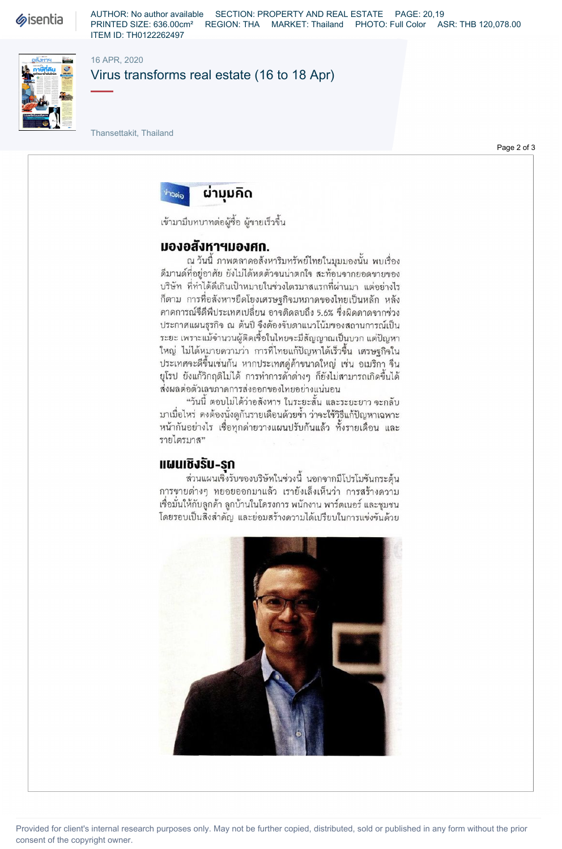**Sisentia** 

AUTHOR: No author available SECTION: PROPERTY AND REAL ESTATE PAGE: 20,19 PRINTED SIZE: 636.00cm² REGION: THA MARKET: Thailand PHOTO: Full Color ASR: THB 120,078.00 ITEM ID: TH0122262497



#### 16 APR, 2020

# Virus transforms real estate (16 to 18 Apr)

Thansettakit, Thailand

Page 2 of 3



เข้ามามีบทบาทต่อผู้ซื้อ ผู้ขายเร็วขึ้น

## มองอสังหาฯมองศก.

ณ วันนี้ ภาพตลาดอสังหาริมทรัพย์ไทยในมุมมองนั้น พบเรื่อง ดีมานด์ที่อยู่อาศัย ยังไม่ได้หดตัวจนน่าตกใจ สะท้อนจากยอดขายของ บริษัท ที่ทำได้ดีเกินเป้าหมายในช่วงไตรมาสแรกที่ผ่านมา แต่อย่างไร ก็ตาม การที่อสังหาฯยึดโยงเศรษฐกิจมหภาคของไทยเป็นหลัก หลัง ดาดการณ์จีดีพีประเทศเปลี่ยน อาจติดลบถึง 5.6% ซึ่งผิดดาดจากช่วง ประกาศแผนธุรกิจ ณ ต้นปี จึงต้องจับตาแนวโน้มของสถานการณ์เป็น ระยะ เพราะแม้จำนวนผู้ติดเชื้อในไทยจะมีสัญญาณเป็นบวก แต่ปัญหา ใหญ่ ไม่ได้หมายดวามว่า การที่ไทยแก้ปัญหาได้เร็วขึ้น เศรษฐกิจใน ประเทศจะดีขึ้นเช่นกัน หากประเทศคู่ด้าขนาดใหญ่ เช่น อเมริกา จีน ยุโรป ยังแก้วิกฤติไม่ได้ การทำการค้าต่างๆ ก็ยังไม่สามารถเกิดขึ้นได้ ส่งผลต่อตัวเลขภาคการส่งออกของไทยอย่างแน่นอน

"วันนี้ ตอบไม่ได้ว่าอสังหาฯ ในระยะสั้น และระยะยาว จะกลับ มาเมื่อไหร่ ดงต้องนั่งดูกันรายเดือนด้วยซ้ำ ว่าจะใช้วิธีแก้ปัญหาเฉพาะ หน้ากันอย่างไร เชื่อทุกค่ายวางแผนปรับกันแล้ว ทั้งรายเดือน และ รายไตรมาส"

# แผนเชิงรับ-รก

ส่วนแผนเชิงรับของบริษัทในช่วงนี้ นอกจากมีโปรโมชันกระตุ้น การขายต่างๆ ทยอยออกมาแล้ว เรายังเล็งเห็นว่า การสร้างดวาม เชื่อมั่นให้กับลูกค้า ลูกบ้านในโครงการ พนักงาน พาร์ตเนอร์ และชุมชน โดยรอบเป็นสิ่งสำคัญ และย่อมสร้างความได้เปรียบในการแข่งขันด้วย



Provided for client's internal research purposes only. May not be further copied, distributed, sold or published in any form without the prior consent of the copyright owner.